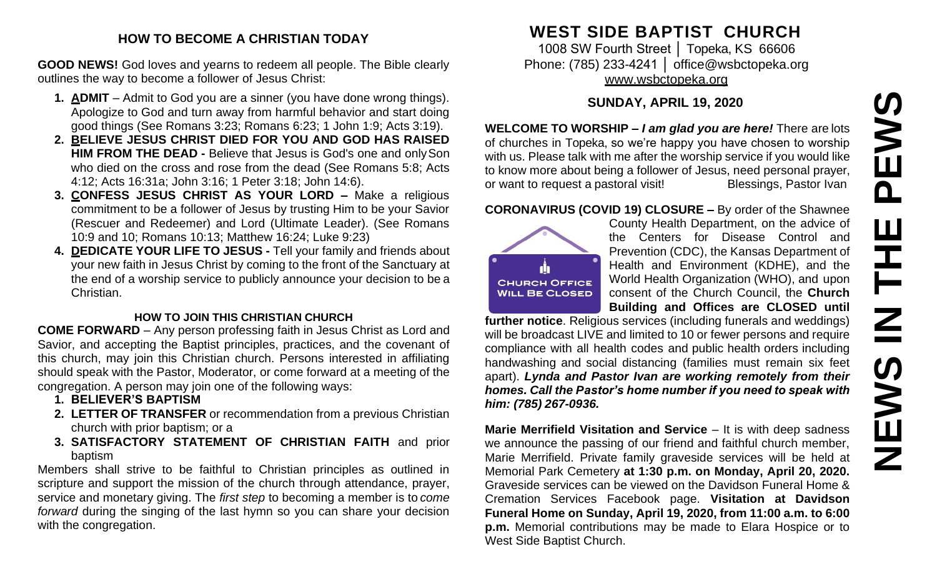# **HOW TO BECOME A CHRISTIAN TODAY**

**GOOD NEWS!** God loves and yearns to redeem all people. The Bible clearly outlines the way to become a follower of Jesus Christ:

- **1. ADMIT**  Admit to God you are a sinner (you have done wrong things). Apologize to God and turn away from harmful behavior and start doing good things (See Romans 3:23; Romans 6:23; 1 John 1:9; Acts 3:19).
- **2. BELIEVE JESUS CHRIST DIED FOR YOU AND GOD HAS RAISED HIM FROM THE DEAD -** Believe that Jesus is God's one and onlySon who died on the cross and rose from the dead (See Romans 5:8; Acts 4:12; Acts 16:31a; John 3:16; 1 Peter 3:18; John 14:6).
- **3. CONFESS JESUS CHRIST AS YOUR LORD –** Make a religious commitment to be a follower of Jesus by trusting Him to be your Savior (Rescuer and Redeemer) and Lord (Ultimate Leader). (See Romans 10:9 and 10; Romans 10:13; Matthew 16:24; Luke 9:23)
- **4. DEDICATE YOUR LIFE TO JESUS -** Tell your family and friends about your new faith in Jesus Christ by coming to the front of the Sanctuary at the end of a worship service to publicly announce your decision to be a Christian.

#### **HOW TO JOIN THIS CHRISTIAN CHURCH**

**COME FORWARD** – Any person professing faith in Jesus Christ as Lord and Savior, and accepting the Baptist principles, practices, and the covenant of this church, may join this Christian church. Persons interested in affiliating should speak with the Pastor, Moderator, or come forward at a meeting of the congregation. A person may join one of the following ways:

- **1. BELIEVER'S BAPTISM**
- **2. LETTER OF TRANSFER** or recommendation from a previous Christian church with prior baptism; or a
- **3. SATISFACTORY STATEMENT OF CHRISTIAN FAITH** and prior baptism

Members shall strive to be faithful to Christian principles as outlined in scripture and support the mission of the church through attendance, prayer, service and monetary giving. The *first step* to becoming a member is to *come forward* during the singing of the last hymn so you can share your decision with the congregation.

# **WEST SIDE BAPTIST CHURCH**

1008 SW Fourth Street | Topeka, KS 66606 Phone: (785) 233-4241 │ [office@wsbctopeka.org](mailto:office@wsbctopeka.org) [www.wsbctopeka.org](http://www.wsbctopeka.org/)

# **SUNDAY, APRIL 19, 2020**

**WELCOME TO WORSHIP –** *I am glad you are here!* There are lots of churches in Topeka, so we're happy you have chosen to worship with us. Please talk with me after the worship service if you would like to know more about being a follower of Jesus, need personal prayer, or want to request a pastoral visit!<br>
Blessings, Pastor Ivan

#### **CORONAVIRUS (COVID 19) CLOSURE –** By order of the Shawnee



County Health Department, on the advice of the Centers for Disease Control and Prevention (CDC), the Kansas Department of Health and Environment (KDHE), and the World Health Organization (WHO), and upon consent of the Church Council, the **Church Building and Offices are CLOSED until** 

**further notice**. Religious services (including funerals and weddings) will be broadcast LIVE and limited to 10 or fewer persons and require compliance with all health codes and public health orders including handwashing and social distancing (families must remain six feet apart). *Lynda and Pastor Ivan are working remotely from their homes. Call the Pastor's home number if you need to speak with him: (785) 267-0936.*

**Marie Merrifield Visitation and Service** – It is with deep sadness we announce the passing of our friend and faithful church member, Marie Merrifield. Private family graveside services will be held at Memorial Park Cemetery **at 1:30 p.m. on Monday, April 20, 2020.** Graveside services can be viewed on the Davidson Funeral Home & Cremation Services Facebook page. **Visitation at Davidson Funeral Home on Sunday, April 19, 2020, from 11:00 a.m. to 6:00 p.m.** Memorial contributions may be made to Elara Hospice or to West Side Baptist Church.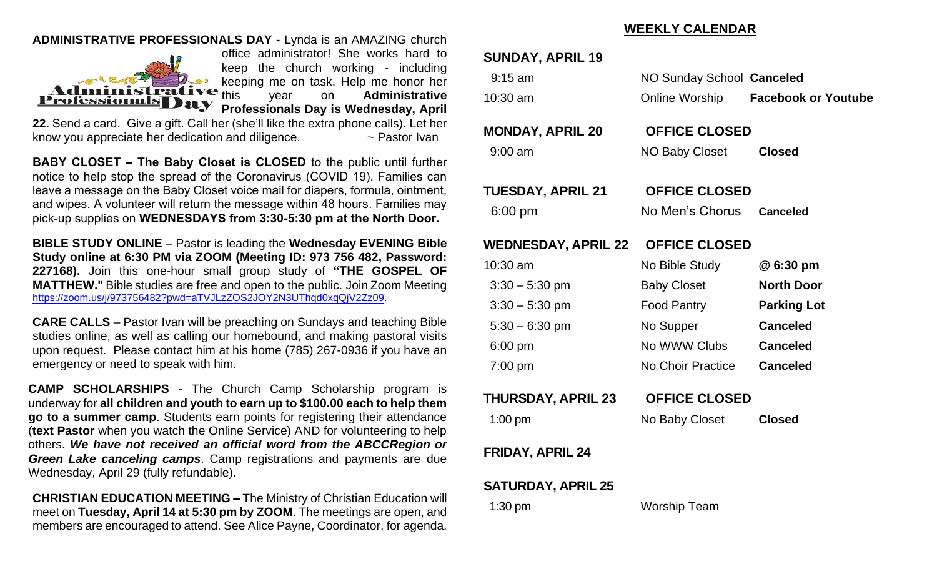#### **ADMINISTRATIVE PROFESSIONALS DAY -** Lynda is an AMAZING church



office administrator! She works hard to keep the church working - including keeping me on task. Help me honor her this year on **Administrative Professionals Day is Wednesday, April** 

**22.** Send a card. Give a gift. Call her (she'll like the extra phone calls). Let her know you appreciate her dedication and diligence.  $\sim$  Pastor Ivan

**BABY CLOSET – The Baby Closet is CLOSED** to the public until further notice to help stop the spread of the Coronavirus (COVID 19). Families can leave a message on the Baby Closet voice mail for diapers, formula, ointment, and wipes. A volunteer will return the message within 48 hours. Families may pick-up supplies on **WEDNESDAYS from 3:30-5:30 pm at the North Door.**

**BIBLE STUDY ONLINE** – Pastor is leading the **Wednesday EVENING Bible Study online at 6:30 PM via ZOOM (Meeting ID: 973 756 482, Password: 227168).** Join this one-hour small group study of **"THE GOSPEL OF MATTHEW."** Bible studies are free and open to the public. Join Zoom Meeting [https://zoom.us/j/973756482?pwd=aTVJLzZOS2JOY2N3UThqd0xqQjV2Zz09.](https://zoom.us/j/973756482?pwd=aTVJLzZOS2JOY2N3UThqd0xqQjV2Zz09)

**CARE CALLS** – Pastor Ivan will be preaching on Sundays and teaching Bible studies online, as well as calling our homebound, and making pastoral visits upon request. Please contact him at his home (785) 267-0936 if you have an emergency or need to speak with him.

**CAMP SCHOLARSHIPS** - The Church Camp Scholarship program is underway for **all children and youth to earn up to \$100.00 each to help them go to a summer camp**. Students earn points for registering their attendance (**text Pastor** when you watch the Online Service) AND for volunteering to help others. *We have not received an official word from the ABCCRegion or Green Lake canceling camps*. Camp registrations and payments are due Wednesday, April 29 (fully refundable).

**CHRISTIAN EDUCATION MEETING –** The Ministry of Christian Education will meet on **Tuesday, April 14 at 5:30 pm by ZOOM**. The meetings are open, and members are encouraged to attend. See Alice Payne, Coordinator, for agenda.

#### **WEEKLY CALENDAR**

| <b>SUNDAY, APRIL 19</b>    |                           |                                    |
|----------------------------|---------------------------|------------------------------------|
| $9:15$ am                  | NO Sunday School Canceled |                                    |
| 10:30 am                   |                           | Online Worship Facebook or Youtube |
| <b>MONDAY, APRIL 20</b>    | <b>OFFICE CLOSED</b>      |                                    |
| $9:00$ am                  | NO Baby Closet            | <b>Closed</b>                      |
| <b>TUESDAY, APRIL 21</b>   | <b>OFFICE CLOSED</b>      |                                    |
| 6:00 pm                    | No Men's Chorus           | <b>Canceled</b>                    |
| <b>WEDNESDAY, APRIL 22</b> | <b>OFFICE CLOSED</b>      |                                    |
| 10:30 am                   | No Bible Study            | @ 6:30 pm                          |
| $3:30 - 5:30$ pm           | <b>Baby Closet</b>        | <b>North Door</b>                  |
| $3:30 - 5:30$ pm           | Food Pantry               | <b>Parking Lot</b>                 |
| $5:30 - 6:30$ pm           | No Supper                 | <b>Canceled</b>                    |
| $6:00$ pm                  | No WWW Clubs              | <b>Canceled</b>                    |
| 7:00 pm                    | No Choir Practice         | <b>Canceled</b>                    |
| <b>THURSDAY, APRIL 23</b>  | <b>OFFICE CLOSED</b>      |                                    |
| $1:00$ pm                  | No Baby Closet            | <b>Closed</b>                      |
| <b>FRIDAY, APRIL 24</b>    |                           |                                    |
| <b>SATURDAY, APRIL 25</b>  |                           |                                    |
| $1:30$ pm                  | <b>Worship Team</b>       |                                    |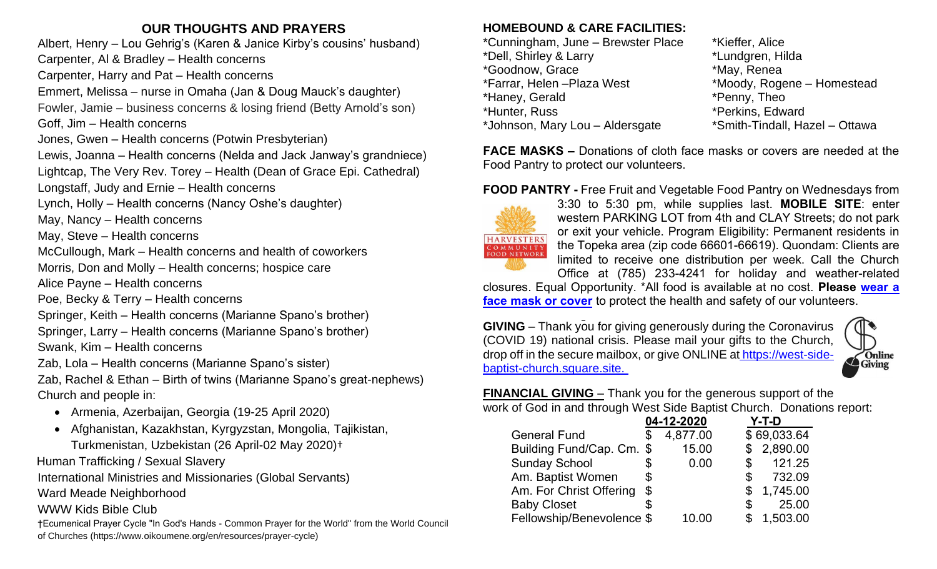# **OUR THOUGHTS AND PRAYERS**

Albert, Henry – Lou Gehrig's (Karen & Janice Kirby's cousins' husband) Carpenter, Al & Bradley – Health concerns Carpenter, Harry and Pat – Health concerns Emmert, Melissa – nurse in Omaha (Jan & Doug Mauck's daughter) Fowler, Jamie – business concerns & losing friend (Betty Arnold's son) Goff, Jim – Health concerns Jones, Gwen – Health concerns (Potwin Presbyterian) Lewis, Joanna – Health concerns (Nelda and Jack Janway's grandniece) Lightcap, The Very Rev. Torey – Health (Dean of Grace Epi. Cathedral) Longstaff, Judy and Ernie – Health concerns Lynch, Holly – Health concerns (Nancy Oshe's daughter) May, Nancy – Health concerns May, Steve – Health concerns McCullough, Mark – Health concerns and health of coworkers Morris, Don and Molly – Health concerns; hospice care Alice Payne – Health concerns Poe, Becky & Terry – Health concerns Springer, Keith – Health concerns (Marianne Spano's brother) Springer, Larry – Health concerns (Marianne Spano's brother) Swank, Kim – Health concerns Zab, Lola – Health concerns (Marianne Spano's sister) Zab, Rachel & Ethan – Birth of twins (Marianne Spano's great-nephews) Church and people in: • Armenia, Azerbaijan, Georgia (19-25 April 2020) • Afghanistan, Kazakhstan, Kyrgyzstan, Mongolia, Tajikistan, Turkmenistan, Uzbekistan (26 April-02 May 2020)†

Human Trafficking / Sexual Slavery

International Ministries and Missionaries (Global Servants)

Ward Meade Neighborhood

WWW Kids Bible Club

†Ecumenical Prayer Cycle "In God's Hands - Common Prayer for the World" from the World Council of Churches (https:/[/www.oikoumene.org/en/resources/prayer-cycle\)](http://www.oikoumene.org/en/resources/prayer-cycle))

## **HOMEBOUND & CARE FACILITIES:**

\*Cunningham, June – Brewster Place \*Kieffer, Alice \*Dell, Shirley & Larry \*Lundgren, Hilda \*Goodnow, Grace \*May, Renea \*Farrar, Helen –Plaza West \*Moody, Rogene – Homestead \*Haney, Gerald \*Penny, Theo \*Hunter, Russ \*Perkins, Edward \*Johnson, Mary Lou – Aldersgate \*Smith-Tindall, Hazel – Ottawa

**FACE MASKS –** Donations of cloth face masks or covers are needed at the Food Pantry to protect our volunteers.

**FOOD PANTRY -** Free Fruit and Vegetable Food Pantry on Wednesdays from



3:30 to 5:30 pm, while supplies last. **MOBILE SITE**: enter western PARKING LOT from 4th and CLAY Streets; do not park or exit your vehicle. Program Eligibility: Permanent residents in the Topeka area (zip code 66601-66619). Quondam: Clients are limited to receive one distribution per week. Call the Church Office at (785) 233-4241 for holiday and weather-related

closures. Equal Opportunity. \*All food is available at no cost. **Please [wear a](https://www.cdc.gov/coronavirus/2019-ncov/prevent-getting-sick/diy-cloth-face-coverings.html)  [face mask or cover](https://www.cdc.gov/coronavirus/2019-ncov/prevent-getting-sick/diy-cloth-face-coverings.html)** to protect the health and safety of our volunteers.

**GIVING** – Thank you for giving generously during the Coronavirus (COVID 19) national crisis. Please mail your gifts to the Church, drop off in the secure mailbox, or give ONLINE at [https://west-side](https://west-side-baptist-church.square.site/)[baptist-church.square.site.](https://west-side-baptist-church.square.site/)



**FINANCIAL GIVING** – Thank you for the generous support of the work of God in and through West Side Baptist Church. Donations report:

|                           | 04-12-2020 |          | Y-T-D |             |
|---------------------------|------------|----------|-------|-------------|
| <b>General Fund</b>       | S          | 4,877.00 |       | \$69,033.64 |
| Building Fund/Cap. Cm. \$ |            | 15.00    |       | 2,890.00    |
| <b>Sunday School</b>      | \$         | 0.00     | \$    | 121.25      |
| Am. Baptist Women         | \$         |          |       | 732.09      |
| Am. For Christ Offering   | \$         |          |       | 1,745.00    |
| <b>Baby Closet</b>        |            |          | S     | 25.00       |
| Fellowship/Benevolence \$ |            | 10.00    |       | 1,503.00    |